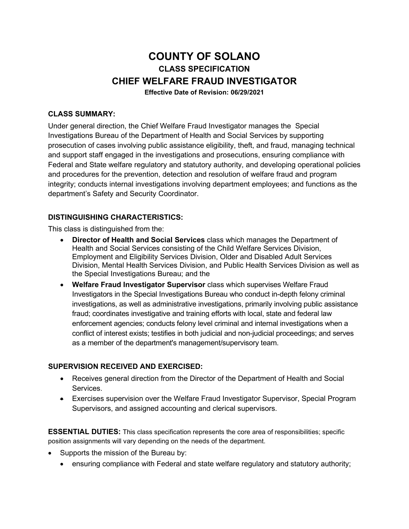# **COUNTY OF SOLANO CLASS SPECIFICATION CHIEF WELFARE FRAUD INVESTIGATOR**

**Effective Date of Revision: 06/29/2021**

## **CLASS SUMMARY:**

Under general direction, the Chief Welfare Fraud Investigator manages the Special Investigations Bureau of the Department of Health and Social Services by supporting prosecution of cases involving public assistance eligibility, theft, and fraud, managing technical and support staff engaged in the investigations and prosecutions, ensuring compliance with Federal and State welfare regulatory and statutory authority, and developing operational policies and procedures for the prevention, detection and resolution of welfare fraud and program integrity; conducts internal investigations involving department employees; and functions as the department's Safety and Security Coordinator.

## **DISTINGUISHING CHARACTERISTICS:**

This class is distinguished from the:

- **Director of Health and Social Services** class which manages the Department of Health and Social Services consisting of the Child Welfare Services Division, Employment and Eligibility Services Division, Older and Disabled Adult Services Division, Mental Health Services Division, and Public Health Services Division as well as the Special Investigations Bureau; and the
- **Welfare Fraud Investigator Supervisor** class which supervises Welfare Fraud Investigators in the Special Investigations Bureau who conduct in-depth felony criminal investigations, as well as administrative investigations, primarily involving public assistance fraud; coordinates investigative and training efforts with local, state and federal law enforcement agencies; conducts felony level criminal and internal investigations when a conflict of interest exists; testifies in both judicial and non-judicial proceedings; and serves as a member of the department's management/supervisory team.

#### **SUPERVISION RECEIVED AND EXERCISED:**

- Receives general direction from the Director of the Department of Health and Social Services.
- Exercises supervision over the Welfare Fraud Investigator Supervisor, Special Program Supervisors, and assigned accounting and clerical supervisors.

**ESSENTIAL DUTIES:** This class specification represents the core area of responsibilities; specific position assignments will vary depending on the needs of the department.

- Supports the mission of the Bureau by:
	- ensuring compliance with Federal and state welfare regulatory and statutory authority;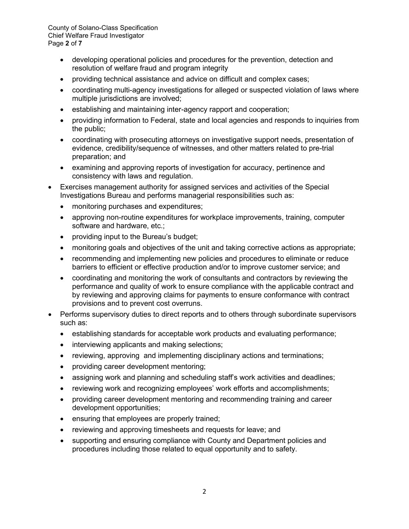County of Solano-Class Specification Chief Welfare Fraud Investigator Page **2** of **7**

- developing operational policies and procedures for the prevention, detection and resolution of welfare fraud and program integrity
- providing technical assistance and advice on difficult and complex cases;
- coordinating multi-agency investigations for alleged or suspected violation of laws where multiple jurisdictions are involved;
- establishing and maintaining inter-agency rapport and cooperation;
- providing information to Federal, state and local agencies and responds to inquiries from the public;
- coordinating with prosecuting attorneys on investigative support needs, presentation of evidence, credibility/sequence of witnesses, and other matters related to pre-trial preparation; and
- examining and approving reports of investigation for accuracy, pertinence and consistency with laws and regulation.
- Exercises management authority for assigned services and activities of the Special Investigations Bureau and performs managerial responsibilities such as:
	- monitoring purchases and expenditures;
	- approving non-routine expenditures for workplace improvements, training, computer software and hardware, etc.;
	- providing input to the Bureau's budget;
	- monitoring goals and objectives of the unit and taking corrective actions as appropriate;
	- recommending and implementing new policies and procedures to eliminate or reduce barriers to efficient or effective production and/or to improve customer service; and
	- coordinating and monitoring the work of consultants and contractors by reviewing the performance and quality of work to ensure compliance with the applicable contract and by reviewing and approving claims for payments to ensure conformance with contract provisions and to prevent cost overruns.
- Performs supervisory duties to direct reports and to others through subordinate supervisors such as:
	- establishing standards for acceptable work products and evaluating performance;
	- interviewing applicants and making selections;
	- reviewing, approving and implementing disciplinary actions and terminations;
	- providing career development mentoring;
	- assigning work and planning and scheduling staff's work activities and deadlines;
	- reviewing work and recognizing employees' work efforts and accomplishments;
	- providing career development mentoring and recommending training and career development opportunities;
	- ensuring that employees are properly trained;
	- reviewing and approving timesheets and requests for leave; and
	- supporting and ensuring compliance with County and Department policies and procedures including those related to equal opportunity and to safety.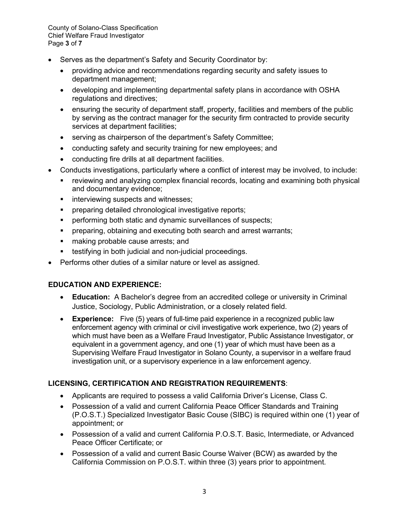County of Solano-Class Specification Chief Welfare Fraud Investigator Page **3** of **7**

- Serves as the department's Safety and Security Coordinator by:
	- providing advice and recommendations regarding security and safety issues to department management;
	- developing and implementing departmental safety plans in accordance with OSHA regulations and directives;
	- ensuring the security of department staff, property, facilities and members of the public by serving as the contract manager for the security firm contracted to provide security services at department facilities;
	- serving as chairperson of the department's Safety Committee;
	- conducting safety and security training for new employees; and
	- conducting fire drills at all department facilities.
- Conducts investigations, particularly where a conflict of interest may be involved, to include:
	- reviewing and analyzing complex financial records, locating and examining both physical and documentary evidence;
	- **interviewing suspects and witnesses;**
	- **Perioring detailed chronological investigative reports;**
	- **Performing both static and dynamic surveillances of suspects;**
	- **Parthler** preparing, obtaining and executing both search and arrest warrants;
	- **naking probable cause arrests; and**
	- **testifying in both judicial and non-judicial proceedings.**
- Performs other duties of a similar nature or level as assigned.

# **EDUCATION AND EXPERIENCE:**

- **Education:** A Bachelor's degree from an accredited college or university in Criminal Justice, Sociology, Public Administration, or a closely related field.
- **Experience:** Five (5) years of full-time paid experience in a recognized public law enforcement agency with criminal or civil investigative work experience, two (2) years of which must have been as a Welfare Fraud Investigator, Public Assistance Investigator, or equivalent in a government agency, and one (1) year of which must have been as a Supervising Welfare Fraud Investigator in Solano County, a supervisor in a welfare fraud investigation unit, or a supervisory experience in a law enforcement agency.

# **LICENSING, CERTIFICATION AND REGISTRATION REQUIREMENTS**:

- Applicants are required to possess a valid California Driver's License, Class C.
- Possession of a valid and current California Peace Officer Standards and Training (P.O.S.T.) Specialized Investigator Basic Couse (SIBC) is required within one (1) year of appointment; or
- Possession of a valid and current California P.O.S.T. Basic, Intermediate, or Advanced Peace Officer Certificate; or
- Possession of a valid and current Basic Course Waiver (BCW) as awarded by the California Commission on P.O.S.T. within three (3) years prior to appointment.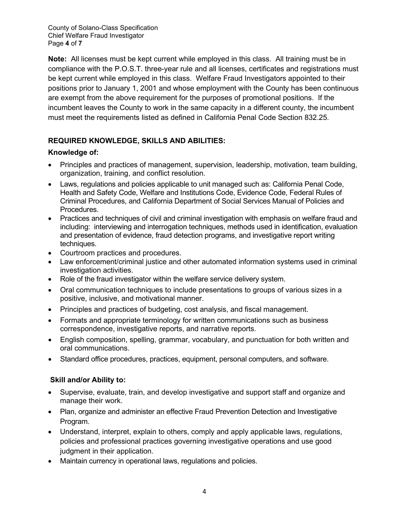County of Solano-Class Specification Chief Welfare Fraud Investigator Page **4** of **7**

**Note:** All licenses must be kept current while employed in this class. All training must be in compliance with the P.O.S.T. three-year rule and all licenses, certificates and registrations must be kept current while employed in this class. Welfare Fraud Investigators appointed to their positions prior to January 1, 2001 and whose employment with the County has been continuous are exempt from the above requirement for the purposes of promotional positions. If the incumbent leaves the County to work in the same capacity in a different county, the incumbent must meet the requirements listed as defined in California Penal Code Section 832.25.

# **REQUIRED KNOWLEDGE, SKILLS AND ABILITIES:**

## **Knowledge of:**

- Principles and practices of management, supervision, leadership, motivation, team building, organization, training, and conflict resolution.
- Laws, regulations and policies applicable to unit managed such as: California Penal Code, Health and Safety Code, Welfare and Institutions Code, Evidence Code, Federal Rules of Criminal Procedures, and California Department of Social Services Manual of Policies and Procedures.
- Practices and techniques of civil and criminal investigation with emphasis on welfare fraud and including: interviewing and interrogation techniques, methods used in identification, evaluation and presentation of evidence, fraud detection programs, and investigative report writing techniques.
- Courtroom practices and procedures.
- Law enforcement/criminal justice and other automated information systems used in criminal investigation activities.
- Role of the fraud investigator within the welfare service delivery system.
- Oral communication techniques to include presentations to groups of various sizes in a positive, inclusive, and motivational manner.
- Principles and practices of budgeting, cost analysis, and fiscal management.
- Formats and appropriate terminology for written communications such as business correspondence, investigative reports, and narrative reports.
- English composition, spelling, grammar, vocabulary, and punctuation for both written and oral communications.
- Standard office procedures, practices, equipment, personal computers, and software.

# **Skill and/or Ability to:**

- Supervise, evaluate, train, and develop investigative and support staff and organize and manage their work.
- Plan, organize and administer an effective Fraud Prevention Detection and Investigative Program.
- Understand, interpret, explain to others, comply and apply applicable laws, regulations, policies and professional practices governing investigative operations and use good judgment in their application.
- Maintain currency in operational laws, regulations and policies.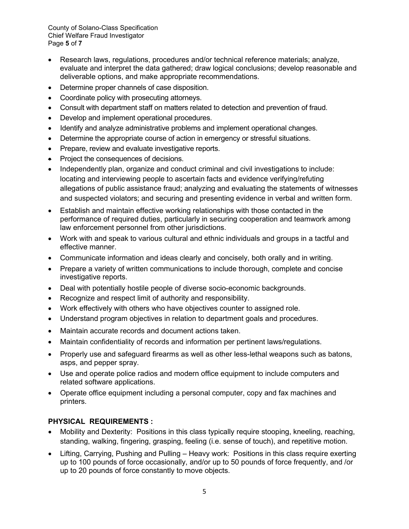County of Solano-Class Specification Chief Welfare Fraud Investigator Page **5** of **7**

- Research laws, regulations, procedures and/or technical reference materials; analyze, evaluate and interpret the data gathered; draw logical conclusions; develop reasonable and deliverable options, and make appropriate recommendations.
- Determine proper channels of case disposition.
- Coordinate policy with prosecuting attorneys.
- Consult with department staff on matters related to detection and prevention of fraud.
- Develop and implement operational procedures.
- Identify and analyze administrative problems and implement operational changes.
- Determine the appropriate course of action in emergency or stressful situations.
- Prepare, review and evaluate investigative reports.
- Project the consequences of decisions.
- Independently plan, organize and conduct criminal and civil investigations to include: locating and interviewing people to ascertain facts and evidence verifying/refuting allegations of public assistance fraud; analyzing and evaluating the statements of witnesses and suspected violators; and securing and presenting evidence in verbal and written form.
- Establish and maintain effective working relationships with those contacted in the performance of required duties, particularly in securing cooperation and teamwork among law enforcement personnel from other jurisdictions.
- Work with and speak to various cultural and ethnic individuals and groups in a tactful and effective manner.
- Communicate information and ideas clearly and concisely, both orally and in writing.
- Prepare a variety of written communications to include thorough, complete and concise investigative reports.
- Deal with potentially hostile people of diverse socio-economic backgrounds.
- Recognize and respect limit of authority and responsibility.
- Work effectively with others who have objectives counter to assigned role.
- Understand program objectives in relation to department goals and procedures.
- Maintain accurate records and document actions taken.
- Maintain confidentiality of records and information per pertinent laws/regulations.
- Properly use and safeguard firearms as well as other less-lethal weapons such as batons, asps, and pepper spray.
- Use and operate police radios and modern office equipment to include computers and related software applications.
- Operate office equipment including a personal computer, copy and fax machines and printers.

### **PHYSICAL REQUIREMENTS :**

- Mobility and Dexterity: Positions in this class typically require stooping, kneeling, reaching, standing, walking, fingering, grasping, feeling (i.e. sense of touch), and repetitive motion.
- Lifting, Carrying, Pushing and Pulling Heavy work: Positions in this class require exerting up to 100 pounds of force occasionally, and/or up to 50 pounds of force frequently, and /or up to 20 pounds of force constantly to move objects.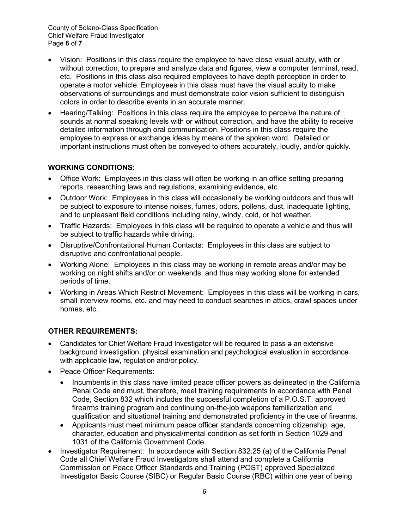- Vision: Positions in this class require the employee to have close visual acuity, with or without correction, to prepare and analyze data and figures, view a computer terminal, read, etc. Positions in this class also required employees to have depth perception in order to operate a motor vehicle. Employees in this class must have the visual acuity to make observations of surroundings and must demonstrate color vision sufficient to distinguish colors in order to describe events in an accurate manner.
- Hearing/Talking: Positions in this class require the employee to perceive the nature of sounds at normal speaking levels with or without correction, and have the ability to receive detailed information through oral communication. Positions in this class require the employee to express or exchange ideas by means of the spoken word. Detailed or important instructions must often be conveyed to others accurately, loudly, and/or quickly.

## **WORKING CONDITIONS:**

- Office Work: Employees in this class will often be working in an office setting preparing reports, researching laws and regulations, examining evidence, etc.
- Outdoor Work: Employees in this class will occasionally be working outdoors and thus will be subject to exposure to intense noises, fumes, odors, pollens, dust, inadequate lighting, and to unpleasant field conditions including rainy, windy, cold, or hot weather.
- Traffic Hazards: Employees in this class will be required to operate a vehicle and thus will be subject to traffic hazards while driving.
- Disruptive/Confrontational Human Contacts: Employees in this class are subject to disruptive and confrontational people.
- Working Alone: Employees in this class may be working in remote areas and/or may be working on night shifts and/or on weekends, and thus may working alone for extended periods of time.
- Working in Areas Which Restrict Movement: Employees in this class will be working in cars, small interview rooms, etc. and may need to conduct searches in attics, crawl spaces under homes, etc.

# **OTHER REQUIREMENTS:**

- Candidates for Chief Welfare Fraud Investigator will be required to pass a an extensive background investigation, physical examination and psychological evaluation in accordance with applicable law, regulation and/or policy.
- Peace Officer Requirements:
	- Incumbents in this class have limited peace officer powers as delineated in the California Penal Code and must, therefore, meet training requirements in accordance with Penal Code, Section 832 which includes the successful completion of a P.O.S.T. approved firearms training program and continuing on-the-job weapons familiarization and qualification and situational training and demonstrated proficiency in the use of firearms.
	- Applicants must meet minimum peace officer standards concerning citizenship, age, character, education and physical/mental condition as set forth in Section 1029 and 1031 of the California Government Code.
- Investigator Requirement: In accordance with Section 832.25 (a) of the California Penal Code all Chief Welfare Fraud Investigators shall attend and complete a California Commission on Peace Officer Standards and Training (POST) approved Specialized Investigator Basic Course (SIBC) or Regular Basic Course (RBC) within one year of being